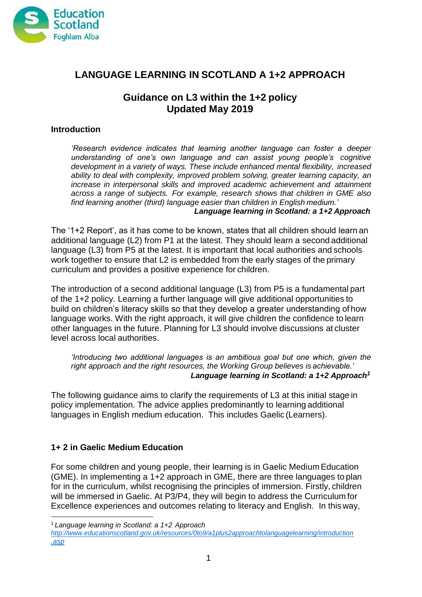

# **LANGUAGE LEARNING IN SCOTLAND A 1+2 APPROACH**

### **Guidance on L3 within the 1+2 policy Updated May 2019**

#### **Introduction**

*'Research evidence indicates that learning another language can foster a deeper understanding of one's own language and can assist young people's cognitive development in a variety of ways. These include enhanced mental flexibility, increased ability to deal with complexity, improved problem solving, greater learning capacity, an increase in interpersonal skills and improved academic achievement and attainment across a range of subjects. For example, research shows that children in GME also find learning another (third) language easier than children in English medium.' Language learning in Scotland: a 1+2 Approach*

The '1+2 Report', as it has come to be known, states that all children should learn an additional language (L2) from P1 at the latest. They should learn a second additional language (L3) from P5 at the latest. It is important that local authorities and schools work together to ensure that L2 is embedded from the early stages of the primary curriculum and provides a positive experience for children.

The introduction of a second additional language (L3) from P5 is a fundamental part of the 1+2 policy. Learning a further language will give additional opportunities to build on children's literacy skills so that they develop a greater understanding of how language works. With the right approach, it will give children the confidence to learn other languages in the future. Planning for L3 should involve discussions at cluster level across local authorities.

*'Introducing two additional languages is an ambitious goal but one which, given the right approach and the right resources, the Working Group believes is achievable.' Language learning in Scotland: a 1+2 Approach[1](#page-0-0)*

The following guidance aims to clarify the requirements of L3 at this initial stage in policy implementation. The advice applies predominantly to learning additional languages in English medium education. This includes Gaelic (Learners).

### **1+ 2 in Gaelic Medium Education**

For some children and young people, their learning is in Gaelic Medium Education (GME). In implementing a 1+2 approach in GME, there are three languages to plan for in the curriculum, whilst recognising the principles of immersion. Firstly, children will be immersed in Gaelic. At P3/P4, they will begin to address the Curriculum for Excellence experiences and outcomes relating to literacy and English. In thisway,

<span id="page-0-0"></span><sup>1</sup>*Language learning in Scotland: a 1+2 Approach*

*[http://www.educationscotland.gov.uk/resources/0to9/a1plus2approachtolanguagelearning/introduction](http://www.educationscotland.gov.uk/resources/0to9/a1plus2approachtolanguagelearning/introduction.asp) [.asp](http://www.educationscotland.gov.uk/resources/0to9/a1plus2approachtolanguagelearning/introduction.asp)*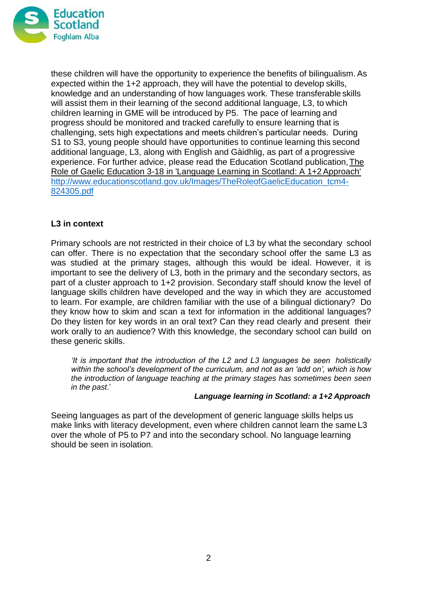

these children will have the opportunity to experience the benefits of bilingualism.As expected within the 1+2 approach, they will have the potential to develop skills, knowledge and an understanding of how languages work. These transferable skills will assist them in their learning of the second additional language, L3, to which children learning in GME will be introduced by P5. The pace of learning and progress should be monitored and tracked carefully to ensure learning that is challenging, sets high expectations and meets children's particular needs. During S1 to S3, young people should have opportunities to continue learning this second additional language, L3, along with English and Gàidhlig, as part of a progressive experience. For further advice, please read the Education Scotland publication[,The](http://www.educationscotland.gov.uk/resources/g/gaeliceducation/gme.asp?strReferringChannel=resources&strReferringPageID=tcm%3A4-825704-64) [Role of Gaelic Education 3-18 in 'Language Learning in Scotland: A 1+2Approach'](http://www.educationscotland.gov.uk/resources/g/gaeliceducation/gme.asp?strReferringChannel=resources&strReferringPageID=tcm%3A4-825704-64) [http://www.educationscotland.gov.uk/Images/TheRoleofGaelicEducation\\_tcm4-](http://www.educationscotland.gov.uk/Images/TheRoleofGaelicEducation_tcm4-824305.pdf) [824305.pdf](http://www.educationscotland.gov.uk/Images/TheRoleofGaelicEducation_tcm4-824305.pdf)

### **L3 in context**

Primary schools are not restricted in their choice of L3 by what the secondary school can offer. There is no expectation that the secondary school offer the same L3 as was studied at the primary stages, although this would be ideal. However, it is important to see the delivery of L3, both in the primary and the secondary sectors, as part of a cluster approach to 1+2 provision. Secondary staff should know the level of language skills children have developed and the way in which they are accustomed to learn. For example, are children familiar with the use of a bilingual dictionary? Do they know how to skim and scan a text for information in the additional languages? Do they listen for key words in an oral text? Can they read clearly and present their work orally to an audience? With this knowledge, the secondary school can build on these generic skills.

*'It is important that the introduction of the L2 and L3 languages be seen holistically within the school's development of the curriculum, and not as an 'add on', which is how the introduction of language teaching at the primary stages has sometimes been seen in the past*.'

#### *Language learning in Scotland: a 1+2 Approach*

Seeing languages as part of the development of generic language skills helps us make links with literacy development, even where children cannot learn the same L3 over the whole of P5 to P7 and into the secondary school. No language learning should be seen in isolation.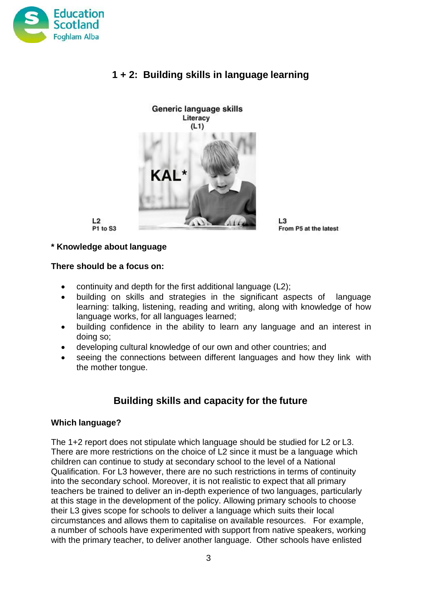

# **1 + 2: Building skills in language learning**



L3 From P5 at the latest

#### **\* Knowledge about language**

P1 to S3

 $L2$ 

#### **There should be a focus on:**

- continuity and depth for the first additional language (L2);
- building on skills and strategies in the significant aspects of language learning: talking, listening, reading and writing, along with knowledge of how language works, for all languages learned;
- building confidence in the ability to learn any language and an interest in doing so;
- developing cultural knowledge of our own and other countries; and
- seeing the connections between different languages and how they link with the mother tongue.

# **Building skills and capacity for the future**

#### **Which language?**

The 1+2 report does not stipulate which language should be studied for L2 or L3. There are more restrictions on the choice of L2 since it must be a language which children can continue to study at secondary school to the level of a National Qualification. For L3 however, there are no such restrictions in terms of continuity into the secondary school. Moreover, it is not realistic to expect that all primary teachers be trained to deliver an in-depth experience of two languages, particularly at this stage in the development of the policy. Allowing primary schools to choose their L3 gives scope for schools to deliver a language which suits their local circumstances and allows them to capitalise on available resources. For example, a number of schools have experimented with support from native speakers, working with the primary teacher, to deliver another language. Other schools have enlisted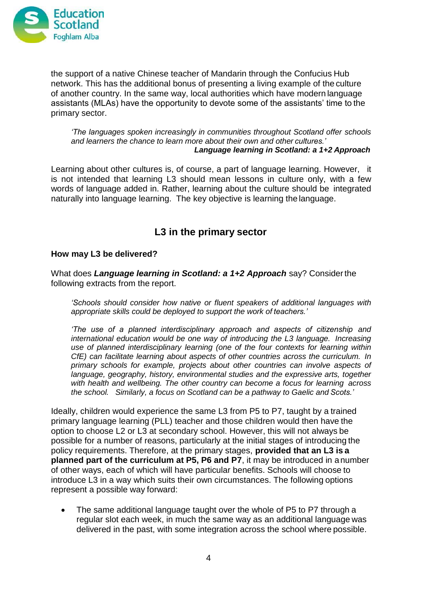

the support of a native Chinese teacher of Mandarin through the Confucius Hub network. This has the additional bonus of presenting a living example of the culture of another country. In the same way, local authorities which have modern language assistants (MLAs) have the opportunity to devote some of the assistants' time to the primary sector.

*'The languages spoken increasingly in communities throughout Scotland offer schools and learners the chance to learn more about their own and other cultures.' Language learning in Scotland: a 1+2 Approach*

Learning about other cultures is, of course, a part of language learning. However, it is not intended that learning L3 should mean lessons in culture only, with a few words of language added in. Rather, learning about the culture should be integrated naturally into language learning. The key objective is learning the language.

# **L3 in the primary sector**

#### **How may L3 be delivered?**

What does *Language learning in Scotland: a 1+2 Approach* say? Considerthe following extracts from the report.

*'Schools should consider how native or fluent speakers of additional languages with appropriate skills could be deployed to support the work of teachers.'*

*'The use of a planned interdisciplinary approach and aspects of citizenship and international education would be one way of introducing the L3 language. Increasing use of planned interdisciplinary learning (one of the four contexts for learning within CfE) can facilitate learning about aspects of other countries across the curriculum. In primary schools for example, projects about other countries can involve aspects of language, geography, history, environmental studies and the expressive arts, together with health and wellbeing. The other country can become a focus for learning across the school. Similarly, a focus on Scotland can be a pathway to Gaelic and Scots.'*

Ideally, children would experience the same L3 from P5 to P7, taught by a trained primary language learning (PLL) teacher and those children would then have the option to choose L2 or L3 at secondary school. However, this will not always be possible for a number of reasons, particularly at the initial stages of introducing the policy requirements. Therefore, at the primary stages, **provided that an L3 is a planned part of the curriculum at P5, P6 and P7**, it may be introduced in anumber of other ways, each of which will have particular benefits. Schools will choose to introduce L3 in a way which suits their own circumstances. The following options represent a possible way forward:

 The same additional language taught over the whole of P5 to P7 through a regular slot each week, in much the same way as an additional language was delivered in the past, with some integration across the school where possible.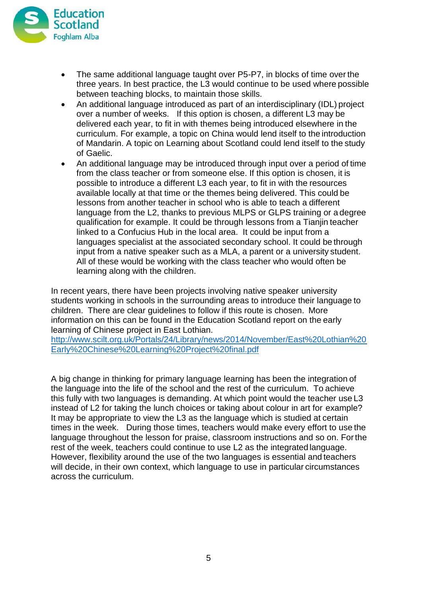

- The same additional language taught over P5-P7, in blocks of time over the three years. In best practice, the L3 would continue to be used where possible between teaching blocks, to maintain those skills.
- An additional language introduced as part of an interdisciplinary (IDL) project over a number of weeks. If this option is chosen, a different L3 may be delivered each year, to fit in with themes being introduced elsewhere in the curriculum. For example, a topic on China would lend itself to the introduction of Mandarin. A topic on Learning about Scotland could lend itself to the study of Gaelic.
- An additional language may be introduced through input over a period of time from the class teacher or from someone else. If this option is chosen, it is possible to introduce a different L3 each year, to fit in with the resources available locally at that time or the themes being delivered. This could be lessons from another teacher in school who is able to teach a different language from the L2, thanks to previous MLPS or GLPS training or a degree qualification for example. It could be through lessons from a Tianjin teacher linked to a Confucius Hub in the local area. It could be input from a languages specialist at the associated secondary school. It could be through input from a native speaker such as a MLA, a parent or a university student. All of these would be working with the class teacher who would often be learning along with the children.

In recent years, there have been projects involving native speaker university students working in schools in the surrounding areas to introduce their language to children. There are clear guidelines to follow if this route is chosen. More information on this can be found in the Education Scotland report on the early learning of Chinese project in East Lothian.

[http://www.scilt.org.uk/Portals/24/Library/news/2014/November/East%20Lothian%20](http://www.scilt.org.uk/Portals/24/Library/news/2014/November/East%20Lothian%20Early%20Chinese%20Learning%20Project%20final.pdf) [Early%20Chinese%20Learning%20Project%20final.pdf](http://www.scilt.org.uk/Portals/24/Library/news/2014/November/East%20Lothian%20Early%20Chinese%20Learning%20Project%20final.pdf)

A big change in thinking for primary language learning has been the integration of the language into the life of the school and the rest of the curriculum. To achieve this fully with two languages is demanding. At which point would the teacher use L3 instead of L2 for taking the lunch choices or taking about colour in art for example? It may be appropriate to view the L3 as the language which is studied at certain times in the week. During those times, teachers would make every effort to use the language throughout the lesson for praise, classroom instructions and so on. Forthe rest of the week, teachers could continue to use L2 as the integrated language. However, flexibility around the use of the two languages is essential and teachers will decide, in their own context, which language to use in particular circumstances across the curriculum.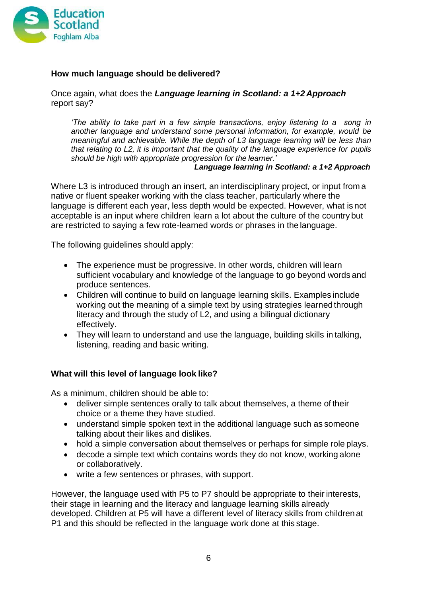

### **How much language should be delivered?**

Once again, what does the *Language learning in Scotland: a 1+2 Approach* report say?

*'The ability to take part in a few simple transactions, enjoy listening to a song in another language and understand some personal information, for example, would be meaningful and achievable. While the depth of L3 language learning will be less than that relating to L2, it is important that the quality of the language experience for pupils should be high with appropriate progression for the learner.'*

*Language learning in Scotland: a 1+2 Approach*

Where L3 is introduced through an insert, an interdisciplinary project, or input from a native or fluent speaker working with the class teacher, particularly where the language is different each year, less depth would be expected. However, what is not acceptable is an input where children learn a lot about the culture of the country but are restricted to saying a few rote-learned words or phrases in the language.

The following guidelines should apply:

- The experience must be progressive. In other words, children will learn sufficient vocabulary and knowledge of the language to go beyond words and produce sentences.
- Children will continue to build on language learning skills. Examples include working out the meaning of a simple text by using strategies learned through literacy and through the study of L2, and using a bilingual dictionary effectively.
- They will learn to understand and use the language, building skills in talking, listening, reading and basic writing.

#### **What will this level of language look like?**

As a minimum, children should be able to:

- deliver simple sentences orally to talk about themselves, a theme of their choice or a theme they have studied.
- understand simple spoken text in the additional language such as someone talking about their likes and dislikes.
- hold a simple conversation about themselves or perhaps for simple role plays.
- decode a simple text which contains words they do not know, working alone or collaboratively.
- write a few sentences or phrases, with support.

However, the language used with P5 to P7 should be appropriate to their interests, their stage in learning and the literacy and language learning skills already developed. Children at P5 will have a different level of literacy skills from children at P1 and this should be reflected in the language work done at this stage.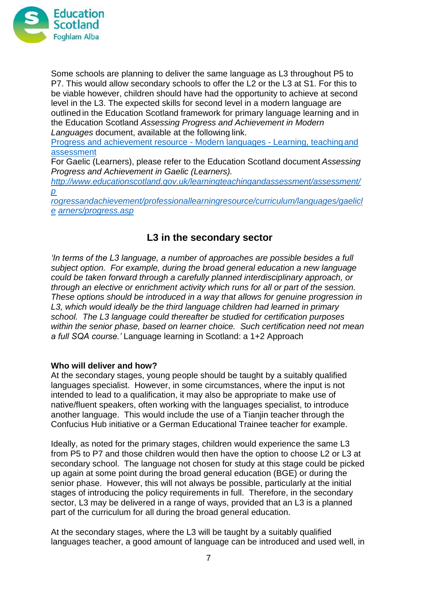

Some schools are planning to deliver the same language as L3 throughout P5 to P7. This would allow secondary schools to offer the L2 or the L3 at S1. For this to be viable however, children should have had the opportunity to achieve at second level in the L3. The expected skills for second level in a modern language are outlined in the Education Scotland framework for primary language learning and in the Education Scotland *Assessing Progress and Achievement in Modern Languages* document, available at the following link.

[Progress and achievement resource -](http://www.educationscotland.gov.uk/learningteachingandassessment/assessment/progressandachievement/professionallearningresource/curriculum/languages/modernlanguages/progress.asp) Modern languages - Learning, teachingand [assessment](http://www.educationscotland.gov.uk/learningteachingandassessment/assessment/progressandachievement/professionallearningresource/curriculum/languages/modernlanguages/progress.asp)

For Gaelic (Learners), please refer to the Education Scotland document *Assessing Progress and Achievement in Gaelic (Learners).* 

*[http://www.educationscotland.gov.uk/learningteachingandassessment/assessment/](http://www.educationscotland.gov.uk/learningteachingandassessment/assessment/progressandachievement/professionallearningresource/curriculum/languages/gaeliclearners/progress.asp) [p](http://www.educationscotland.gov.uk/learningteachingandassessment/assessment/progressandachievement/professionallearningresource/curriculum/languages/gaeliclearners/progress.asp)*

*[rogressandachievement/professionallearningresource/curriculum/languages/gaelicl](http://www.educationscotland.gov.uk/learningteachingandassessment/assessment/progressandachievement/professionallearningresource/curriculum/languages/gaeliclearners/progress.asp) [e](http://www.educationscotland.gov.uk/learningteachingandassessment/assessment/progressandachievement/professionallearningresource/curriculum/languages/gaeliclearners/progress.asp) [arners/progress.asp](http://www.educationscotland.gov.uk/learningteachingandassessment/assessment/progressandachievement/professionallearningresource/curriculum/languages/gaeliclearners/progress.asp)*

# **L3 in the secondary sector**

*'In terms of the L3 language, a number of approaches are possible besides a full subject option. For example, during the broad general education a new language could be taken forward through a carefully planned interdisciplinary approach, or through an elective or enrichment activity which runs for all or part of the session. These options should be introduced in a way that allows for genuine progression in L3, which would ideally be the third language children had learned in primary school. The L3 language could thereafter be studied for certification purposes within the senior phase, based on learner choice. Such certification need not mean a full SQA course.'* Language learning in Scotland: a 1+2 Approach

#### **Who will deliver and how?**

At the secondary stages, young people should be taught by a suitably qualified languages specialist. However, in some circumstances, where the input is not intended to lead to a qualification, it may also be appropriate to make use of native/fluent speakers, often working with the languages specialist, to introduce another language. This would include the use of a Tianjin teacher through the Confucius Hub initiative or a German Educational Trainee teacher for example.

Ideally, as noted for the primary stages, children would experience the same L3 from P5 to P7 and those children would then have the option to choose L2 or L3 at secondary school. The language not chosen for study at this stage could be picked up again at some point during the broad general education (BGE) or during the senior phase. However, this will not always be possible, particularly at the initial stages of introducing the policy requirements in full. Therefore, in the secondary sector, L3 may be delivered in a range of ways, provided that an L3 is a planned part of the curriculum for all during the broad general education.

At the secondary stages, where the L3 will be taught by a suitably qualified languages teacher, a good amount of language can be introduced and used well, in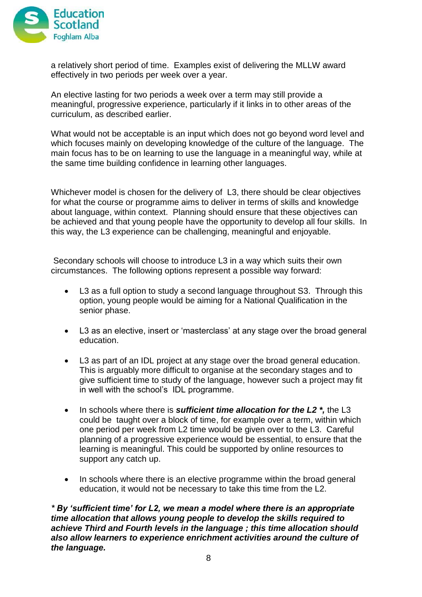

a relatively short period of time. Examples exist of delivering the MLLW award effectively in two periods per week over a year.

An elective lasting for two periods a week over a term may still provide a meaningful, progressive experience, particularly if it links in to other areas of the curriculum, as described earlier.

What would not be acceptable is an input which does not go beyond word level and which focuses mainly on developing knowledge of the culture of the language. The main focus has to be on learning to use the language in a meaningful way, while at the same time building confidence in learning other languages.

Whichever model is chosen for the delivery of L3, there should be clear objectives for what the course or programme aims to deliver in terms of skills and knowledge about language, within context. Planning should ensure that these objectives can be achieved and that young people have the opportunity to develop all four skills. In this way, the L3 experience can be challenging, meaningful and enjoyable.

Secondary schools will choose to introduce L3 in a way which suits their own circumstances. The following options represent a possible way forward:

- L3 as a full option to study a second language throughout S3. Through this option, young people would be aiming for a National Qualification in the senior phase.
- L3 as an elective, insert or 'masterclass' at any stage over the broad general education.
- L3 as part of an IDL project at any stage over the broad general education. This is arguably more difficult to organise at the secondary stages and to give sufficient time to study of the language, however such a project may fit in well with the school's IDL programme.
- In schools where there is *sufficient time allocation for the L2*  $*$ , the L3 could be taught over a block of time, for example over a term, within which one period per week from L2 time would be given over to the L3. Careful planning of a progressive experience would be essential, to ensure that the learning is meaningful. This could be supported by online resources to support any catch up.
- In schools where there is an elective programme within the broad general education, it would not be necessary to take this time from the L2.

*\* By 'sufficient time' for L2, we mean a model where there is an appropriate time allocation that allows young people to develop the skills required to achieve Third and Fourth levels in the language ; this time allocation should also allow learners to experience enrichment activities around the culture of the language.*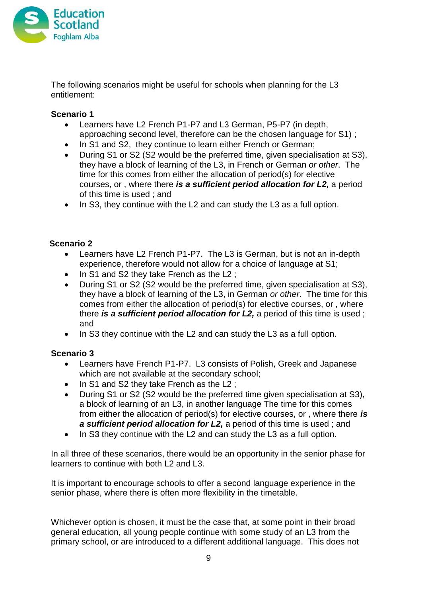

The following scenarios might be useful for schools when planning for the L3 entitlement:

### **Scenario 1**

- Learners have L2 French P1-P7 and L3 German, P5-P7 (in depth, approaching second level, therefore can be the chosen language for S1) ;
- In S1 and S2, they continue to learn either French or German;
- During S1 or S2 (S2 would be the preferred time, given specialisation at S3), they have a block of learning of the L3, in French or German *or other*. The time for this comes from either the allocation of period(s) for elective courses, or , where there *is a sufficient period allocation for L2,* a period of this time is used ; and
- In S3, they continue with the L2 and can study the L3 as a full option.

### **Scenario 2**

- Learners have L2 French P1-P7. The L3 is German, but is not an in-depth experience, therefore would not allow for a choice of language at S1;
- $\bullet$  In S1 and S2 they take French as the L2 ;
- During S1 or S2 (S2 would be the preferred time, given specialisation at S3), they have a block of learning of the L3, in German *or other*. The time for this comes from either the allocation of period(s) for elective courses, or , where there *is a sufficient period allocation for L2,* a period of this time is used ; and
- In S3 they continue with the L2 and can study the L3 as a full option.

### **Scenario 3**

- Learners have French P1-P7. L3 consists of Polish, Greek and Japanese which are not available at the secondary school;
- In S1 and S2 they take French as the L2 ;
- During S1 or S2 (S2 would be the preferred time given specialisation at S3), a block of learning of an L3, in another language The time for this comes from either the allocation of period(s) for elective courses, or , where there *is a sufficient period allocation for L2,* a period of this time is used ; and
- In S3 they continue with the L2 and can study the L3 as a full option.

In all three of these scenarios, there would be an opportunity in the senior phase for learners to continue with both L2 and L3.

It is important to encourage schools to offer a second language experience in the senior phase, where there is often more flexibility in the timetable.

Whichever option is chosen, it must be the case that, at some point in their broad general education, all young people continue with some study of an L3 from the primary school, or are introduced to a different additional language. This does not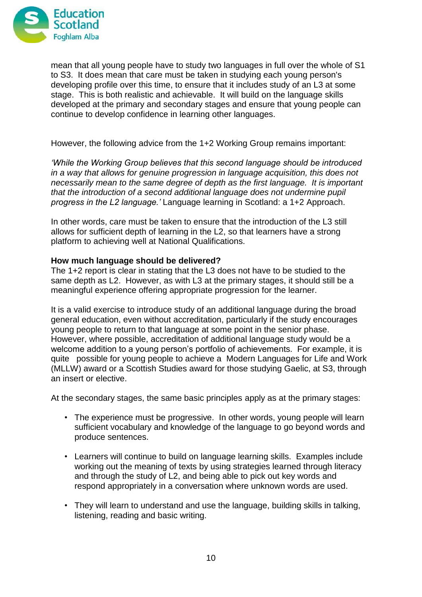

mean that all young people have to study two languages in full over the whole of S1 to S3. It does mean that care must be taken in studying each young person's developing profile over this time, to ensure that it includes study of an L3 at some stage. This is both realistic and achievable. It will build on the language skills developed at the primary and secondary stages and ensure that young people can continue to develop confidence in learning other languages.

However, the following advice from the 1+2 Working Group remains important:

*'While the Working Group believes that this second language should be introduced in a way that allows for genuine progression in language acquisition, this does not necessarily mean to the same degree of depth as the first language. It is important that the introduction of a second additional language does not undermine pupil progress in the L2 language.'* Language learning in Scotland: a 1+2 Approach.

In other words, care must be taken to ensure that the introduction of the L3 still allows for sufficient depth of learning in the L2, so that learners have a strong platform to achieving well at National Qualifications.

#### **How much language should be delivered?**

The 1+2 report is clear in stating that the L3 does not have to be studied to the same depth as L2. However, as with L3 at the primary stages, it should still be a meaningful experience offering appropriate progression for the learner.

It is a valid exercise to introduce study of an additional language during the broad general education, even without accreditation, particularly if the study encourages young people to return to that language at some point in the senior phase. However, where possible, accreditation of additional language study would be a welcome addition to a young person's portfolio of achievements. For example, it is quite possible for young people to achieve a Modern Languages for Life and Work (MLLW) award or a Scottish Studies award for those studying Gaelic, at S3, through an insert or elective.

At the secondary stages, the same basic principles apply as at the primary stages:

- The experience must be progressive. In other words, young people will learn sufficient vocabulary and knowledge of the language to go beyond words and produce sentences.
- Learners will continue to build on language learning skills. Examples include working out the meaning of texts by using strategies learned through literacy and through the study of L2, and being able to pick out key words and respond appropriately in a conversation where unknown words are used.
- They will learn to understand and use the language, building skills in talking, listening, reading and basic writing.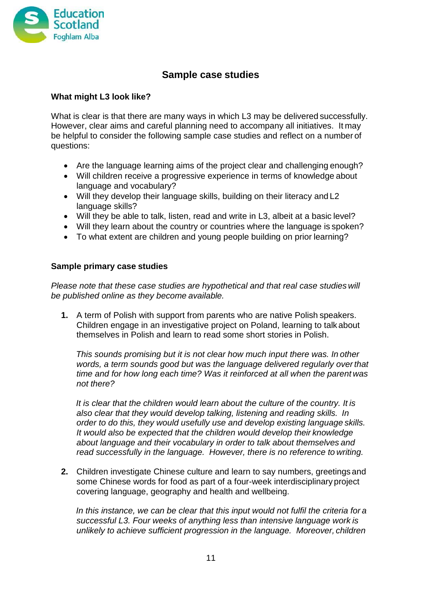

# **Sample case studies**

### **What might L3 look like?**

What is clear is that there are many ways in which L3 may be delivered successfully. However, clear aims and careful planning need to accompany all initiatives. It may be helpful to consider the following sample case studies and reflect on a number of questions:

- Are the language learning aims of the project clear and challenging enough?
- Will children receive a progressive experience in terms of knowledge about language and vocabulary?
- Will they develop their language skills, building on their literacy and L2 language skills?
- Will they be able to talk, listen, read and write in L3, albeit at a basic level?
- Will they learn about the country or countries where the language is spoken?
- To what extent are children and young people building on prior learning?

#### **Sample primary case studies**

*Please note that these case studies are hypothetical and that real case studies will be published online as they become available.*

**1.** A term of Polish with support from parents who are native Polish speakers. Children engage in an investigative project on Poland, learning to talk about themselves in Polish and learn to read some short stories in Polish.

*This sounds promising but it is not clear how much input there was. In other words, a term sounds good but was the language delivered regularly overthat time and for how long each time? Was it reinforced at all when the parent was not there?*

*It is clear that the children would learn about the culture of the country. It is also clear that they would develop talking, listening and reading skills. In order to do this, they would usefully use and develop existing language skills. It would also be expected that the children would develop their knowledge about language and their vocabulary in order to talk about themselves and read successfully in the language. However, there is no reference to writing.*

**2.** Children investigate Chinese culture and learn to say numbers, greetings and some Chinese words for food as part of a four-week interdisciplinary project covering language, geography and health and wellbeing.

*In this instance, we can be clear that this input would not fulfil the criteria for a successful L3. Four weeks of anything less than intensive language work is unlikely to achieve sufficient progression in the language. Moreover, children*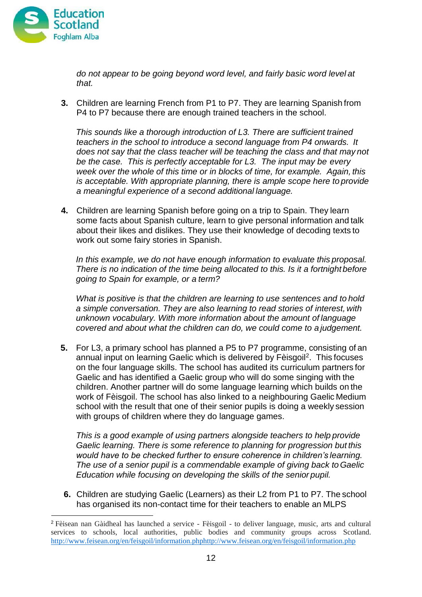

*do not appear to be going beyond word level, and fairly basic word level at that.*

**3.** Children are learning French from P1 to P7. They are learning Spanish from P4 to P7 because there are enough trained teachers in the school.

*This sounds like a thorough introduction of L3. There are sufficient trained teachers in the school to introduce a second language from P4 onwards. It does not say that the class teacher will be teaching the class and that may not be the case. This is perfectly acceptable for L3. The input may be every week over the whole of this time or in blocks of time, for example. Again, this is acceptable. With appropriate planning, there is ample scope here to provide a meaningful experience of a second additional language.*

**4.** Children are learning Spanish before going on a trip to Spain. They learn some facts about Spanish culture, learn to give personal information and talk about their likes and dislikes. They use their knowledge of decoding texts to work out some fairy stories in Spanish.

*In this example, we do not have enough information to evaluate this proposal. There is no indication of the time being allocated to this. Is it a fortnight before going to Spain for example, or a term?*

*What is positive is that the children are learning to use sentences and to hold a simple conversation. They are also learning to read stories of interest, with unknown vocabulary. With more information about the amount of language covered and about what the children can do, we could come to a judgement.*

**5.** For L3, a primary school has planned a P5 to P7 programme, consisting of an annual input on learning Gaelic which is delivered by Fèisgoil<sup>[2](#page-11-0)</sup>. This focuses on the four language skills. The school has audited its curriculum partners for Gaelic and has identified a Gaelic group who will do some singing with the children. Another partner will do some language learning which builds on the work of Fèisgoil. The school has also linked to a neighbouring Gaelic Medium school with the result that one of their senior pupils is doing a weekly session with groups of children where they do language games.

*This is a good example of using partners alongside teachers to help provide Gaelic learning. There is some reference to planning for progression but this would have to be checked further to ensure coherence in children's learning. The use of a senior pupil is a commendable example of giving back toGaelic Education while focusing on developing the skills of the senior pupil.*

**6.** Children are studying Gaelic (Learners) as their L2 from P1 to P7. The school has organised its non-contact time for their teachers to enable an MLPS

<span id="page-11-0"></span><sup>2</sup> Fèisean nan Gàidheal has launched a service - Fèisgoil - to deliver language, music, arts and cultural services to schools, local authorities, public bodies and community groups across Scotland. http://www.feisean.org/en/feisgoil/informat[ion.phphtt](http://www.feisean.org/en/feisgoil/information.php)p://[www.feisean.org/en/feisgoil/information.php](http://www.feisean.org/en/feisgoil/information.php)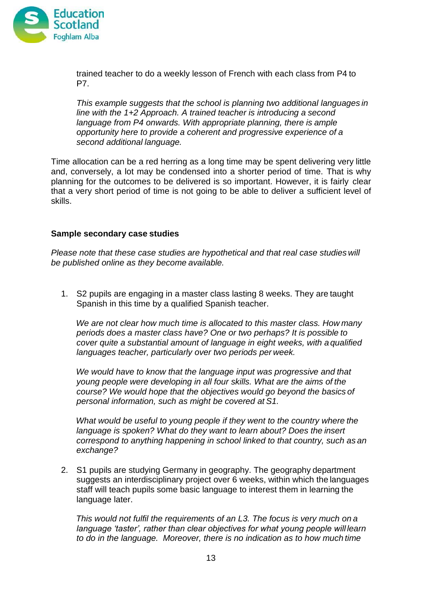

trained teacher to do a weekly lesson of French with each class from P4 to P7.

*This example suggests that the school is planning two additional languages in line with the 1+2 Approach. A trained teacher is introducing a second language from P4 onwards. With appropriate planning, there is ample opportunity here to provide a coherent and progressive experience of a second additional language.*

Time allocation can be a red herring as a long time may be spent delivering very little and, conversely, a lot may be condensed into a shorter period of time. That is why planning for the outcomes to be delivered is so important. However, it is fairly clear that a very short period of time is not going to be able to deliver a sufficient level of skills.

#### **Sample secondary case studies**

*Please note that these case studies are hypothetical and that real case studies will be published online as they become available.*

1. S2 pupils are engaging in a master class lasting 8 weeks. They are taught Spanish in this time by a qualified Spanish teacher.

*We are not clear how much time is allocated to this master class. How many periods does a master class have? One or two perhaps? It is possible to cover quite a substantial amount of language in eight weeks, with a qualified languages teacher, particularly over two periods per week.*

*We would have to know that the language input was progressive and that young people were developing in all four skills. What are the aims of the course? We would hope that the objectives would go beyond the basics of personal information, such as might be covered at S1.*

*What would be useful to young people if they went to the country where the language is spoken? What do they want to learn about? Does the insert correspond to anything happening in school linked to that country, such as an exchange?*

2. S1 pupils are studying Germany in geography. The geography department suggests an interdisciplinary project over 6 weeks, within which the languages staff will teach pupils some basic language to interest them in learning the language later.

*This would not fulfil the requirements of an L3. The focus is very much on a language 'taster', rather than clear objectives for what young people will learn to do in the language. Moreover, there is no indication as to how much time*